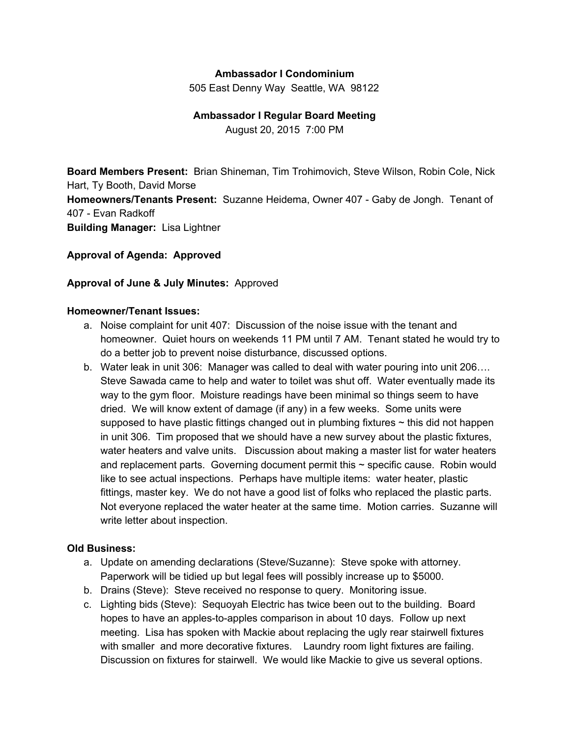## **Ambassador I Condominium**

505 East Denny Way Seattle, WA 98122

## **Ambassador I Regular Board Meeting**

August 20, 2015 7:00 PM

**Board Members Present:** Brian Shineman, Tim Trohimovich, Steve Wilson, Robin Cole, Nick Hart, Ty Booth, David Morse **Homeowners/Tenants Present:** Suzanne Heidema, Owner 407 Gaby de Jongh. Tenant of 407 Evan Radkoff **Building Manager:** Lisa Lightner

## **Approval of Agenda: Approved**

### **Approval of June & July Minutes:** Approved

#### **Homeowner/Tenant Issues:**

- a. Noise complaint for unit 407: Discussion of the noise issue with the tenant and homeowner. Quiet hours on weekends 11 PM until 7 AM. Tenant stated he would try to do a better job to prevent noise disturbance, discussed options.
- b. Water leak in unit 306: Manager was called to deal with water pouring into unit 206…. Steve Sawada came to help and water to toilet was shut off. Water eventually made its way to the gym floor. Moisture readings have been minimal so things seem to have dried. We will know extent of damage (if any) in a few weeks. Some units were supposed to have plastic fittings changed out in plumbing fixtures  $\sim$  this did not happen in unit 306. Tim proposed that we should have a new survey about the plastic fixtures, water heaters and valve units. Discussion about making a master list for water heaters and replacement parts. Governing document permit this  $\sim$  specific cause. Robin would like to see actual inspections. Perhaps have multiple items: water heater, plastic fittings, master key. We do not have a good list of folks who replaced the plastic parts. Not everyone replaced the water heater at the same time. Motion carries. Suzanne will write letter about inspection.

## **Old Business:**

- a. Update on amending declarations (Steve/Suzanne): Steve spoke with attorney. Paperwork will be tidied up but legal fees will possibly increase up to \$5000.
- b. Drains (Steve): Steve received no response to query. Monitoring issue.
- c. Lighting bids (Steve): Sequoyah Electric has twice been out to the building. Board hopes to have an apples-to-apples comparison in about 10 days. Follow up next meeting. Lisa has spoken with Mackie about replacing the ugly rear stairwell fixtures with smaller and more decorative fixtures. Laundry room light fixtures are failing. Discussion on fixtures for stairwell. We would like Mackie to give us several options.